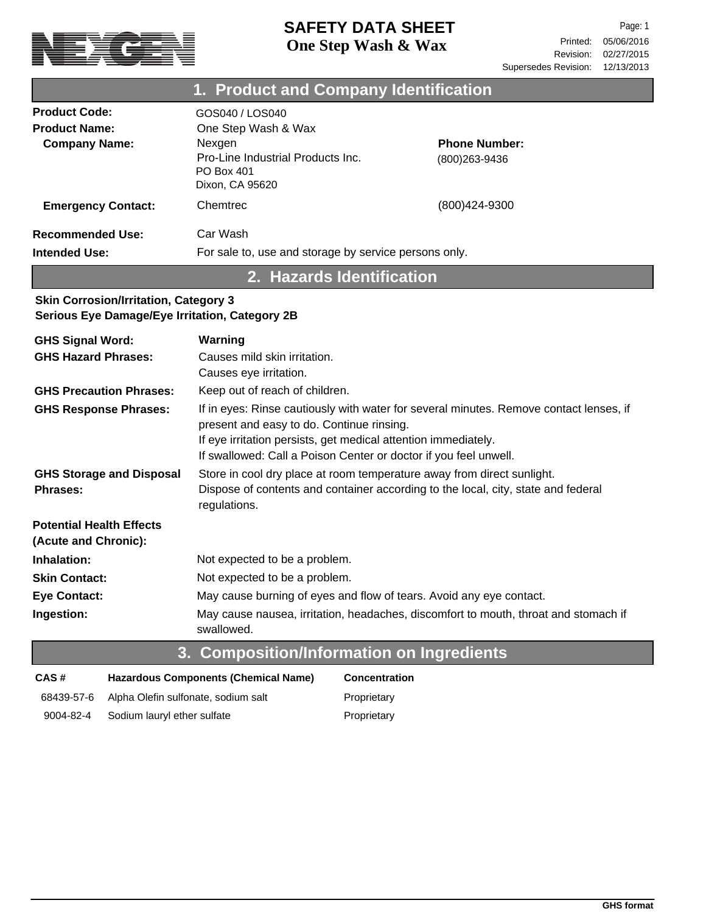

|                                              | 1. Product and Company Identification                                        |                                       |  |  |
|----------------------------------------------|------------------------------------------------------------------------------|---------------------------------------|--|--|
| <b>Product Code:</b><br><b>Product Name:</b> | GOS040 / LOS040<br>One Step Wash & Wax                                       |                                       |  |  |
| <b>Company Name:</b>                         | Nexgen<br>Pro-Line Industrial Products Inc.<br>PO Box 401<br>Dixon, CA 95620 | <b>Phone Number:</b><br>(800)263-9436 |  |  |
| <b>Emergency Contact:</b>                    | Chemtrec                                                                     | (800)424-9300                         |  |  |
| <b>Recommended Use:</b><br>Intended Use:     | Car Wash<br>For sale to, use and storage by service persons only.            |                                       |  |  |

# **2. Hazards Identification**

#### **Skin Corrosion/Irritation, Category 3 Serious Eye Damage/Eye Irritation, Category 2B**

| <b>GHS Signal Word:</b>         | Warning                                                                                                                                                                                               |
|---------------------------------|-------------------------------------------------------------------------------------------------------------------------------------------------------------------------------------------------------|
| <b>GHS Hazard Phrases:</b>      | Causes mild skin irritation.<br>Causes eye irritation.                                                                                                                                                |
| <b>GHS Precaution Phrases:</b>  | Keep out of reach of children.                                                                                                                                                                        |
| <b>GHS Response Phrases:</b>    | If in eyes: Rinse cautiously with water for several minutes. Remove contact lenses, if<br>present and easy to do. Continue rinsing.<br>If eye irritation persists, get medical attention immediately. |
|                                 | If swallowed: Call a Poison Center or doctor if you feel unwell.                                                                                                                                      |
| <b>GHS Storage and Disposal</b> | Store in cool dry place at room temperature away from direct sunlight.                                                                                                                                |
| <b>Phrases:</b>                 | Dispose of contents and container according to the local, city, state and federal<br>regulations.                                                                                                     |
| <b>Potential Health Effects</b> |                                                                                                                                                                                                       |
| (Acute and Chronic):            |                                                                                                                                                                                                       |
| Inhalation:                     | Not expected to be a problem.                                                                                                                                                                         |
| <b>Skin Contact:</b>            | Not expected to be a problem.                                                                                                                                                                         |
| <b>Eye Contact:</b>             | May cause burning of eyes and flow of tears. Avoid any eye contact.                                                                                                                                   |
| Ingestion:                      | May cause nausea, irritation, headaches, discomfort to mouth, throat and stomach if<br>swallowed.                                                                                                     |

## **3. Composition/Information on Ingredients**

| CAS#      | <b>Hazardous Components (Chemical Name)</b>    |  |  |
|-----------|------------------------------------------------|--|--|
|           | 68439-57-6 Alpha Olefin sulfonate, sodium salt |  |  |
| 9004-82-4 | Sodium lauryl ether sulfate                    |  |  |

**Concentration**

Proprietary Proprietary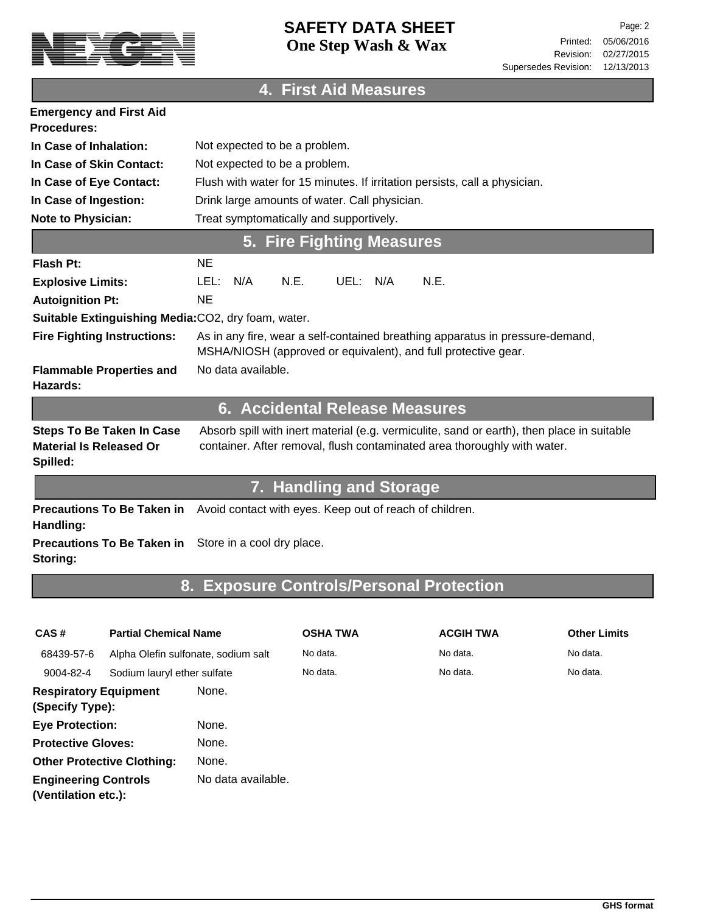

Revision: 02/27/2015 Printed: 05/06/2016 Page: 2 Supersedes Revision: 12/13/2013

#### **4. First Aid Measures**

| <b>Emergency and First Aid</b><br><b>Procedures:</b> |                                                                            |  |  |
|------------------------------------------------------|----------------------------------------------------------------------------|--|--|
| In Case of Inhalation:                               | Not expected to be a problem.                                              |  |  |
| In Case of Skin Contact:                             | Not expected to be a problem.                                              |  |  |
| In Case of Eye Contact:                              | Flush with water for 15 minutes. If irritation persists, call a physician. |  |  |
| In Case of Ingestion:                                | Drink large amounts of water. Call physician.                              |  |  |
| <b>Note to Physician:</b>                            | Treat symptomatically and supportively.                                    |  |  |
| 5. Fire Fighting Measures                            |                                                                            |  |  |
| Flash Pt:                                            | NE.                                                                        |  |  |
| <b>Explosive Limits:</b>                             | N/A<br>N.E.<br>N/A<br>N.E.<br>UEL:<br>LEL:                                 |  |  |
| <b>Autoignition Pt:</b>                              | NE.                                                                        |  |  |

**Suitable Extinguishing Media:**CO2, dry foam, water.

As in any fire, wear a self-contained breathing apparatus in pressure-demand, MSHA/NIOSH (approved or equivalent), and full protective gear. **Fire Fighting Instructions: Flammable Properties and** No data available. **Hazards:**

#### **6. Accidental Release Measures**

Absorb spill with inert material (e.g. vermiculite, sand or earth), then place in suitable container. After removal, flush contaminated area thoroughly with water. **Steps To Be Taken In Case Material Is Released Or Spilled:**

### **7. Handling and Storage**

**Precautions To Be Taken in** Avoid contact with eyes. Keep out of reach of children. **Handling:**

**Precautions To Be Taken in** Store in a cool dry place. **Storing:**

### **8. Exposure Controls/Personal Protection**

| CAS#                                               | <b>Partial Chemical Name</b>        |                    | <b>OSHA TWA</b> | <b>ACGIH TWA</b> | <b>Other Limits</b> |
|----------------------------------------------------|-------------------------------------|--------------------|-----------------|------------------|---------------------|
| 68439-57-6                                         | Alpha Olefin sulfonate, sodium salt |                    | No data.        | No data.         | No data.            |
| 9004-82-4                                          | Sodium lauryl ether sulfate         |                    | No data.        | No data.         | No data.            |
| <b>Respiratory Equipment</b><br>(Specify Type):    |                                     | None.              |                 |                  |                     |
| <b>Eye Protection:</b>                             |                                     | None.              |                 |                  |                     |
| <b>Protective Gloves:</b>                          |                                     | None.              |                 |                  |                     |
| <b>Other Protective Clothing:</b>                  |                                     | None.              |                 |                  |                     |
| <b>Engineering Controls</b><br>(Ventilation etc.): |                                     | No data available. |                 |                  |                     |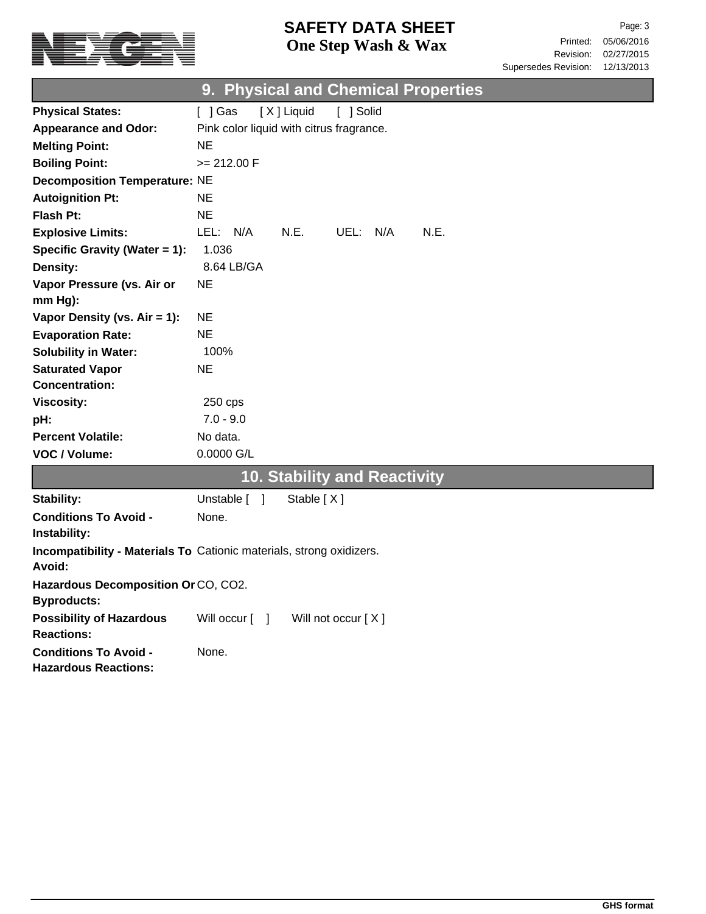

| <b>Physical and Chemical Properties</b><br>9.                                  |                                          |  |  |  |
|--------------------------------------------------------------------------------|------------------------------------------|--|--|--|
| <b>Physical States:</b>                                                        | [X] Liquid<br>[ ] Solid<br>$[$ ] Gas     |  |  |  |
| <b>Appearance and Odor:</b>                                                    | Pink color liquid with citrus fragrance. |  |  |  |
| <b>Melting Point:</b>                                                          | <b>NE</b>                                |  |  |  |
| <b>Boiling Point:</b>                                                          | $>= 212.00 F$                            |  |  |  |
| <b>Decomposition Temperature: NE</b>                                           |                                          |  |  |  |
| <b>Autoignition Pt:</b>                                                        | ΝE                                       |  |  |  |
| <b>Flash Pt:</b>                                                               | <b>NE</b>                                |  |  |  |
| <b>Explosive Limits:</b>                                                       | LEL:<br>N/A<br>N.E.<br>UEL: N/A<br>N.E.  |  |  |  |
| Specific Gravity (Water = 1):                                                  | 1.036                                    |  |  |  |
| <b>Density:</b>                                                                | 8.64 LB/GA                               |  |  |  |
| Vapor Pressure (vs. Air or                                                     | <b>NE</b>                                |  |  |  |
| mm Hg):                                                                        |                                          |  |  |  |
| Vapor Density (vs. Air = 1):                                                   | NE.                                      |  |  |  |
| <b>Evaporation Rate:</b>                                                       | <b>NE</b>                                |  |  |  |
| <b>Solubility in Water:</b>                                                    | 100%                                     |  |  |  |
| <b>Saturated Vapor</b>                                                         | NE                                       |  |  |  |
| <b>Concentration:</b>                                                          |                                          |  |  |  |
| <b>Viscosity:</b>                                                              | 250 cps                                  |  |  |  |
| pH:                                                                            | $7.0 - 9.0$                              |  |  |  |
| <b>Percent Volatile:</b>                                                       | No data.                                 |  |  |  |
| VOC / Volume:                                                                  | 0.0000 G/L                               |  |  |  |
| <b>10. Stability and Reactivity</b>                                            |                                          |  |  |  |
| Stability:                                                                     | Unstable [ ]<br>Stable [X]               |  |  |  |
| <b>Conditions To Avoid -</b><br>Instability:                                   | None.                                    |  |  |  |
| Incompatibility - Materials To Cationic materials, strong oxidizers.<br>Avoid: |                                          |  |  |  |
| Hazardous Decomposition Or CO, CO2.<br><b>Byproducts:</b>                      |                                          |  |  |  |
| <b>Possibility of Hazardous</b><br><b>Reactions:</b>                           | Will occur [ ]<br>Will not occur [X]     |  |  |  |
| <b>Conditions To Avoid -</b><br><b>Hazardous Reactions:</b>                    | None.                                    |  |  |  |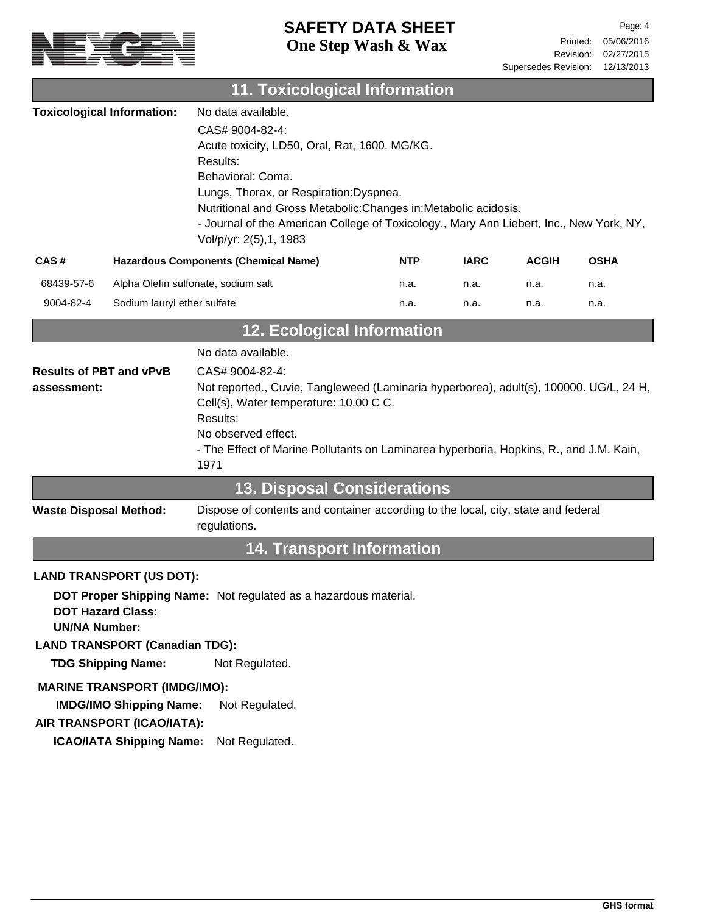

| <b>11. Toxicological Information</b>                                          |                                                                                                                                                                                 |                                                                                                                                                                                                                                                                                                                                                              |            |             |              |             |
|-------------------------------------------------------------------------------|---------------------------------------------------------------------------------------------------------------------------------------------------------------------------------|--------------------------------------------------------------------------------------------------------------------------------------------------------------------------------------------------------------------------------------------------------------------------------------------------------------------------------------------------------------|------------|-------------|--------------|-------------|
| <b>Toxicological Information:</b>                                             |                                                                                                                                                                                 | No data available.<br>CAS# 9004-82-4:<br>Acute toxicity, LD50, Oral, Rat, 1600. MG/KG.<br>Results:<br>Behavioral: Coma.<br>Lungs, Thorax, or Respiration: Dyspnea.<br>Nutritional and Gross Metabolic: Changes in: Metabolic acidosis.<br>- Journal of the American College of Toxicology., Mary Ann Liebert, Inc., New York, NY,<br>Vol/p/yr: 2(5), 1, 1983 |            |             |              |             |
| CAS#<br><b>Hazardous Components (Chemical Name)</b>                           |                                                                                                                                                                                 |                                                                                                                                                                                                                                                                                                                                                              | <b>NTP</b> | <b>IARC</b> | <b>ACGIH</b> | <b>OSHA</b> |
| 68439-57-6                                                                    |                                                                                                                                                                                 | Alpha Olefin sulfonate, sodium salt                                                                                                                                                                                                                                                                                                                          | n.a.       | n.a.        | n.a.         | n.a.        |
| 9004-82-4                                                                     | Sodium lauryl ether sulfate                                                                                                                                                     |                                                                                                                                                                                                                                                                                                                                                              | n.a.       | n.a.        | n.a.         | n.a.        |
| 12. Ecological Information                                                    |                                                                                                                                                                                 |                                                                                                                                                                                                                                                                                                                                                              |            |             |              |             |
| <b>Results of PBT and vPvB</b><br>assessment:                                 |                                                                                                                                                                                 | CAS# 9004-82-4:<br>Not reported., Cuvie, Tangleweed (Laminaria hyperborea), adult(s), 100000. UG/L, 24 H,<br>Cell(s), Water temperature: 10.00 C C.<br>Results:<br>No observed effect.<br>- The Effect of Marine Pollutants on Laminarea hyperboria, Hopkins, R., and J.M. Kain,<br>1971                                                                     |            |             |              |             |
|                                                                               |                                                                                                                                                                                 | <b>13. Disposal Considerations</b>                                                                                                                                                                                                                                                                                                                           |            |             |              |             |
|                                                                               | <b>Waste Disposal Method:</b><br>Dispose of contents and container according to the local, city, state and federal<br>regulations.                                              |                                                                                                                                                                                                                                                                                                                                                              |            |             |              |             |
|                                                                               |                                                                                                                                                                                 | <b>14. Transport Information</b>                                                                                                                                                                                                                                                                                                                             |            |             |              |             |
| <b>DOT Hazard Class:</b><br><b>UN/NA Number:</b><br><b>TDG Shipping Name:</b> | <b>LAND TRANSPORT (US DOT):</b><br><b>LAND TRANSPORT (Canadian TDG):</b><br><b>MARINE TRANSPORT (IMDG/IMO):</b><br><b>IMDG/IMO Shipping Name:</b><br>AIR TRANSPORT (ICAO/IATA): | DOT Proper Shipping Name: Not regulated as a hazardous material.<br>Not Regulated.<br>Not Regulated.                                                                                                                                                                                                                                                         |            |             |              |             |

**ICAO/IATA Shipping Name:** Not Regulated.